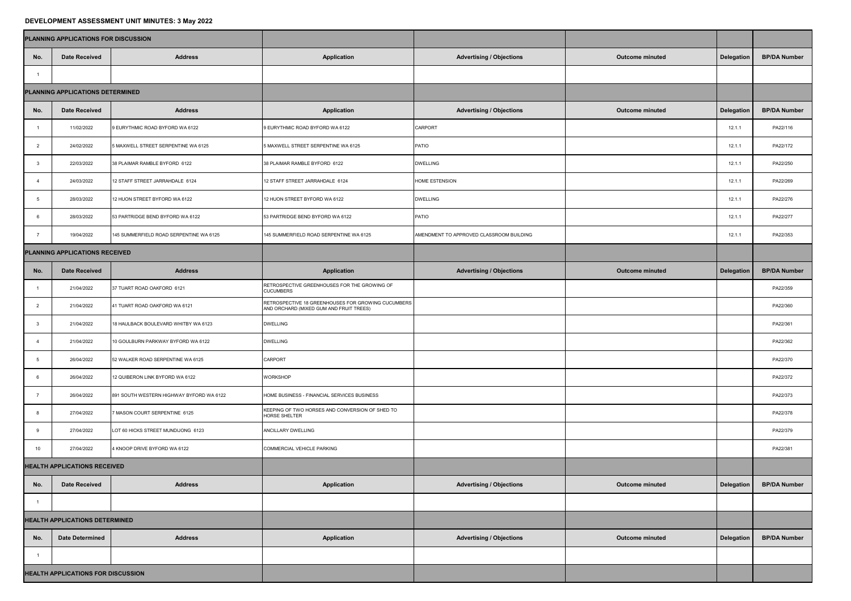## **DEVELOPMENT ASSESSMENT UNIT MINUTES: 3 May 2022**

|                                           | <b>PLANNING APPLICATIONS FOR DISCUSSION</b> |                                          |                                                                                               |                                          |                        |                   |                     |  |
|-------------------------------------------|---------------------------------------------|------------------------------------------|-----------------------------------------------------------------------------------------------|------------------------------------------|------------------------|-------------------|---------------------|--|
| No.                                       | <b>Date Received</b>                        | <b>Address</b>                           | <b>Application</b>                                                                            | <b>Advertising / Objections</b>          | <b>Outcome minuted</b> | <b>Delegation</b> | <b>BP/DA Number</b> |  |
|                                           |                                             |                                          |                                                                                               |                                          |                        |                   |                     |  |
| PLANNING APPLICATIONS DETERMINED          |                                             |                                          |                                                                                               |                                          |                        |                   |                     |  |
| No.                                       | Date Received                               | <b>Address</b>                           | <b>Application</b>                                                                            | <b>Advertising / Objections</b>          | <b>Outcome minuted</b> | Delegation        | <b>BP/DA Number</b> |  |
|                                           | 11/02/2022                                  | 9 EURYTHMIC ROAD BYFORD WA 6122          | 9 EURYTHMIC ROAD BYFORD WA 6122                                                               | <b>CARPORT</b>                           |                        | 12.1.1            | PA22/116            |  |
|                                           | 24/02/2022                                  | 5 MAXWELL STREET SERPENTINE WA 6125      | 5 MAXWELL STREET SERPENTINE WA 6125                                                           | PATIO                                    |                        | 12.1.7            | PA22/172            |  |
| $\mathbf{3}$                              | 22/03/2022                                  | 38 PLAIMAR RAMBLE BYFORD 6122            | 38 PLAIMAR RAMBLE BYFORD 6122                                                                 | <b>DWELLING</b>                          |                        | 12.1.1            | PA22/250            |  |
| -4                                        | 24/03/2022                                  | 12 STAFF STREET JARRAHDALE 6124          | 12 STAFF STREET JARRAHDALE 6124                                                               | <b>HOME ESTENSION</b>                    |                        | 12.1.1            | PA22/269            |  |
| . ხ                                       | 28/03/2022                                  | 12 HUON STREET BYFORD WA 6122            | 12 HUON STREET BYFORD WA 6122                                                                 | <b>DWELLING</b>                          |                        | 12.1.1            | PA22/276            |  |
| -6                                        | 28/03/2022                                  | 53 PARTRIDGE BEND BYFORD WA 6122         | 53 PARTRIDGE BEND BYFORD WA 6122                                                              | PATIO                                    |                        | 12.1.1            | PA22/277            |  |
|                                           | 19/04/2022                                  | 145 SUMMERFIELD ROAD SERPENTINE WA 6125  | 145 SUMMERFIELD ROAD SERPENTINE WA 6125                                                       | AMENDMENT TO APPROVED CLASSROOM BUILDING |                        | 12.1.1            | PA22/353            |  |
| PLANNING APPLICATIONS RECEIVED            |                                             |                                          |                                                                                               |                                          |                        |                   |                     |  |
| No.                                       | <b>Date Received</b>                        | <b>Address</b>                           | <b>Application</b>                                                                            | <b>Advertising / Objections</b>          | <b>Outcome minuted</b> | Delegation        | <b>BP/DA Number</b> |  |
|                                           | 21/04/2022                                  | 37 TUART ROAD OAKFORD 6121               | RETROSPECTIVE GREENHOUSES FOR THE GROWING OF<br><b>CUCUMBERS</b>                              |                                          |                        |                   | PA22/359            |  |
| $\overline{2}$                            | 21/04/2022                                  | 41 TUART ROAD OAKFORD WA 6121            | RETROSPECTIVE 18 GREENHOUSES FOR GROWING CUCUMBERS<br>AND ORCHARD (MIXED GUM AND FRUIT TREES) |                                          |                        |                   | PA22/360            |  |
| -3                                        | 21/04/2022                                  | 18 HAULBACK BOULEVARD WHITBY WA 6123     | <b>DWELLING</b>                                                                               |                                          |                        |                   | PA22/361            |  |
|                                           | 21/04/2022                                  | 10 GOULBURN PARKWAY BYFORD WA 6122       | <b>DWELLING</b>                                                                               |                                          |                        |                   | PA22/362            |  |
| 5                                         | 26/04/2022                                  | 52 WALKER ROAD SERPENTINE WA 6125        | <b>CARPORT</b>                                                                                |                                          |                        |                   | PA22/370            |  |
| 6                                         | 26/04/2022                                  | 12 QUIBERON LINK BYFORD WA 6122          | <b>WORKSHOP</b>                                                                               |                                          |                        |                   | PA22/372            |  |
|                                           | 26/04/2022                                  | 891 SOUTH WESTERN HIGHWAY BYFORD WA 6122 | HOME BUSINESS - FINANCIAL SERVICES BUSINESS                                                   |                                          |                        |                   | PA22/373            |  |
| 8                                         | 27/04/2022                                  | 7 MASON COURT SERPENTINE 6125            | KEEPING OF TWO HORSES AND CONVERSION OF SHED TO<br><b>HORSE SHELTER</b>                       |                                          |                        |                   | PA22/378            |  |
| 9                                         | 27/04/2022                                  | LOT 60 HICKS STREET MUNDIJONG 6123       | ANCILLARY DWELLING                                                                            |                                          |                        |                   | PA22/379            |  |
| 10                                        | 27/04/2022                                  | 4 KNOOP DRIVE BYFORD WA 6122             | COMMERCIAL VEHICLE PARKING                                                                    |                                          |                        |                   | PA22/381            |  |
| <b>HEALTH APPLICATIONS RECEIVED</b>       |                                             |                                          |                                                                                               |                                          |                        |                   |                     |  |
| No.                                       | <b>Date Received</b>                        | <b>Address</b>                           | <b>Application</b>                                                                            | <b>Advertising / Objections</b>          | <b>Outcome minuted</b> | <b>Delegation</b> | <b>BP/DA Number</b> |  |
|                                           |                                             |                                          |                                                                                               |                                          |                        |                   |                     |  |
| <b>HEALTH APPLICATIONS DETERMINED</b>     |                                             |                                          |                                                                                               |                                          |                        |                   |                     |  |
| No.                                       | <b>Date Determined</b>                      | <b>Address</b>                           | <b>Application</b>                                                                            | <b>Advertising / Objections</b>          | <b>Outcome minuted</b> | Delegation        | <b>BP/DA Number</b> |  |
|                                           |                                             |                                          |                                                                                               |                                          |                        |                   |                     |  |
| <b>HEALTH APPLICATIONS FOR DISCUSSION</b> |                                             |                                          |                                                                                               |                                          |                        |                   |                     |  |